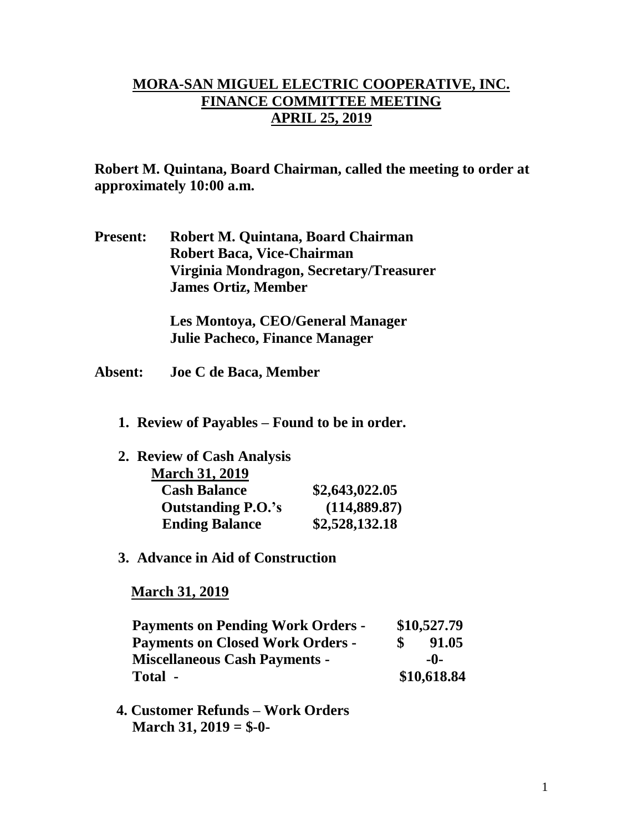## **MORA-SAN MIGUEL ELECTRIC COOPERATIVE, INC. FINANCE COMMITTEE MEETING APRIL 25, 2019**

**Robert M. Quintana, Board Chairman, called the meeting to order at approximately 10:00 a.m.**

**Present: Robert M. Quintana, Board Chairman Robert Baca, Vice-Chairman Virginia Mondragon, Secretary/Treasurer James Ortiz, Member**

> **Les Montoya, CEO/General Manager Julie Pacheco, Finance Manager**

- **Absent: Joe C de Baca, Member**
	- **1. Review of Payables – Found to be in order.**

| 2. Review of Cash Analysis |                |
|----------------------------|----------------|
| <b>March 31, 2019</b>      |                |
| <b>Cash Balance</b>        | \$2,643,022.05 |
| <b>Outstanding P.O.'s</b>  | (114, 889.87)  |
| <b>Ending Balance</b>      | \$2,528,132.18 |

**3. Advance in Aid of Construction**

 **March 31, 2019**

| <b>Payments on Pending Work Orders -</b> | \$10,527.79 |             |
|------------------------------------------|-------------|-------------|
| <b>Payments on Closed Work Orders -</b>  |             | 91.05       |
| <b>Miscellaneous Cash Payments -</b>     |             | $-0-$       |
| Total -                                  |             | \$10,618.84 |

 **4. Customer Refunds – Work Orders March 31, 2019 = \$-0-**